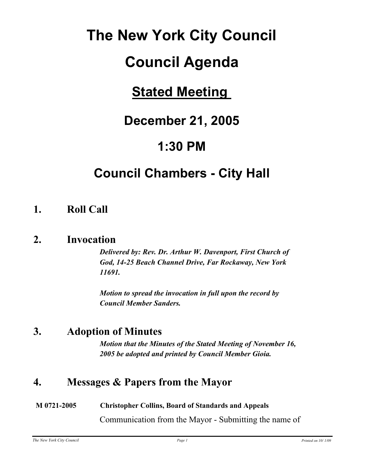# **The New York City Council**

## **Council Agenda**

## **Stated Meeting**

## **December 21, 2005**

## **1:30 PM**

## **Council Chambers - City Hall**

### **1. Roll Call**

### **2. Invocation**

*Delivered by: Rev. Dr. Arthur W. Davenport, First Church of God, 14-25 Beach Channel Drive, Far Rockaway, New York 11691.*

*Motion to spread the invocation in full upon the record by Council Member Sanders.*

### **3. Adoption of Minutes**

*Motion that the Minutes of the Stated Meeting of November 16, 2005 be adopted and printed by Council Member Gioia.*

### **4. Messages & Papers from the Mayor**

### **M 0721-2005 Christopher Collins, Board of Standards and Appeals** Communication from the Mayor - Submitting the name of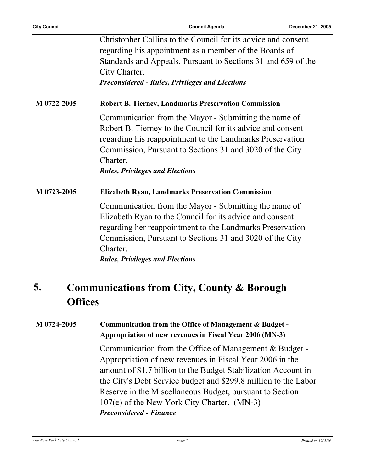| Christopher Collins to the Council for its advice and consent<br>regarding his appointment as a member of the Boards of<br>Standards and Appeals, Pursuant to Sections 31 and 659 of the<br>City Charter.                                                                                           |
|-----------------------------------------------------------------------------------------------------------------------------------------------------------------------------------------------------------------------------------------------------------------------------------------------------|
| <b>Preconsidered - Rules, Privileges and Elections</b>                                                                                                                                                                                                                                              |
| <b>Robert B. Tierney, Landmarks Preservation Commission</b>                                                                                                                                                                                                                                         |
| Communication from the Mayor - Submitting the name of<br>Robert B. Tierney to the Council for its advice and consent<br>regarding his reappointment to the Landmarks Preservation<br>Commission, Pursuant to Sections 31 and 3020 of the City<br>Charter.<br><b>Rules, Privileges and Elections</b> |
| <b>Elizabeth Ryan, Landmarks Preservation Commission</b>                                                                                                                                                                                                                                            |
| Communication from the Mayor - Submitting the name of<br>Elizabeth Ryan to the Council for its advice and consent<br>regarding her reappointment to the Landmarks Preservation<br>Commission, Pursuant to Sections 31 and 3020 of the City<br>Charter.<br><b>Rules, Privileges and Elections</b>    |
|                                                                                                                                                                                                                                                                                                     |

#### **Communications from City, County & Borough Offices 5.**

#### **M 0724-2005 Communication from the Office of Management & Budget - Appropriation of new revenues in Fiscal Year 2006 (MN-3)**

Communication from the Office of Management & Budget - Appropriation of new revenues in Fiscal Year 2006 in the amount of \$1.7 billion to the Budget Stabilization Account in the City's Debt Service budget and \$299.8 million to the Labor Reserve in the Miscellaneous Budget, pursuant to Section 107(e) of the New York City Charter. (MN-3) *Preconsidered - Finance*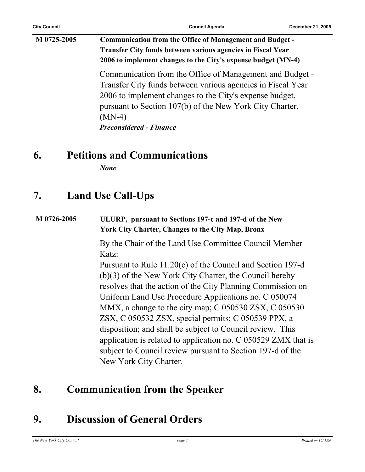### **M 0725-2005 Communication from the Office of Management and Budget - Transfer City funds between various agencies in Fiscal Year 2006 to implement changes to the City's expense budget (MN-4)** Communication from the Office of Management and Budget - Transfer City funds between various agencies in Fiscal Year 2006 to implement changes to the City's expense budget, pursuant to Section 107(b) of the New York City Charter. (MN-4) *Preconsidered - Finance*

### **6. Petitions and Communications**

*None*

### **7. Land Use Call-Ups**

#### **M 0726-2005 ULURP, pursuant to Sections 197-c and 197-d of the New York City Charter, Changes to the City Map, Bronx**

By the Chair of the Land Use Committee Council Member Katz:

Pursuant to Rule 11.20(c) of the Council and Section 197-d (b)(3) of the New York City Charter, the Council hereby resolves that the action of the City Planning Commission on Uniform Land Use Procedure Applications no. C 050074 MMX, a change to the city map; C 050530 ZSX, C 050530 ZSX, C 050532 ZSX, special permits; C 050539 PPX, a disposition; and shall be subject to Council review. This application is related to application no. C 050529 ZMX that is subject to Council review pursuant to Section 197-d of the New York City Charter.

### **8. Communication from the Speaker**

### **9. Discussion of General Orders**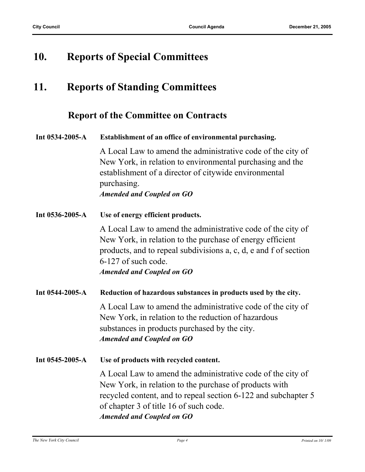### **10. Reports of Special Committees**

## **11. Reports of Standing Committees**

### **Report of the Committee on Contracts**

| Int 0534-2005-A | Establishment of an office of environmental purchasing.<br>A Local Law to amend the administrative code of the city of<br>New York, in relation to environmental purchasing and the<br>establishment of a director of citywide environmental<br>purchasing.<br><b>Amended and Coupled on GO</b>                 |
|-----------------|-----------------------------------------------------------------------------------------------------------------------------------------------------------------------------------------------------------------------------------------------------------------------------------------------------------------|
| Int 0536-2005-A | Use of energy efficient products.<br>A Local Law to amend the administrative code of the city of<br>New York, in relation to the purchase of energy efficient<br>products, and to repeal subdivisions a, c, d, e and f of section<br>6-127 of such code.<br><b>Amended and Coupled on GO</b>                    |
| Int 0544-2005-A | Reduction of hazardous substances in products used by the city.<br>A Local Law to amend the administrative code of the city of<br>New York, in relation to the reduction of hazardous<br>substances in products purchased by the city.<br><b>Amended and Coupled on GO</b>                                      |
| Int 0545-2005-A | Use of products with recycled content.<br>A Local Law to amend the administrative code of the city of<br>New York, in relation to the purchase of products with<br>recycled content, and to repeal section 6-122 and subchapter 5<br>of chapter 3 of title 16 of such code.<br><b>Amended and Coupled on GO</b> |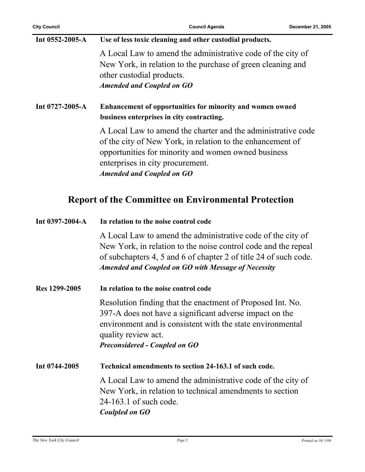| Int 0552-2005-A | Use of less toxic cleaning and other custodial products.                                                                                                                                                                                                  |
|-----------------|-----------------------------------------------------------------------------------------------------------------------------------------------------------------------------------------------------------------------------------------------------------|
|                 | A Local Law to amend the administrative code of the city of<br>New York, in relation to the purchase of green cleaning and<br>other custodial products.                                                                                                   |
|                 | <b>Amended and Coupled on GO</b>                                                                                                                                                                                                                          |
| Int 0727-2005-A | Enhancement of opportunities for minority and women owned<br>business enterprises in city contracting.                                                                                                                                                    |
|                 | A Local Law to amend the charter and the administrative code<br>of the city of New York, in relation to the enhancement of<br>opportunities for minority and women owned business<br>enterprises in city procurement.<br><b>Amended and Coupled on GO</b> |

### **Report of the Committee on Environmental Protection**

| Int 0397-2004-A | In relation to the noise control code                                                                                                                                                                                                                           |
|-----------------|-----------------------------------------------------------------------------------------------------------------------------------------------------------------------------------------------------------------------------------------------------------------|
|                 | A Local Law to amend the administrative code of the city of<br>New York, in relation to the noise control code and the repeal<br>of subchapters 4, 5 and 6 of chapter 2 of title 24 of such code.<br><b>Amended and Coupled on GO with Message of Necessity</b> |
| Res 1299-2005   | In relation to the noise control code                                                                                                                                                                                                                           |
|                 | Resolution finding that the enactment of Proposed Int. No.<br>397-A does not have a significant adverse impact on the<br>environment and is consistent with the state environmental<br>quality review act.<br><b>Preconsidered - Coupled on GO</b>              |
| Int 0744-2005   | Technical amendments to section 24-163.1 of such code.                                                                                                                                                                                                          |
|                 | A Local Law to amend the administrative code of the city of<br>New York, in relation to technical amendments to section<br>24-163.1 of such code.<br>Coulpled on GO                                                                                             |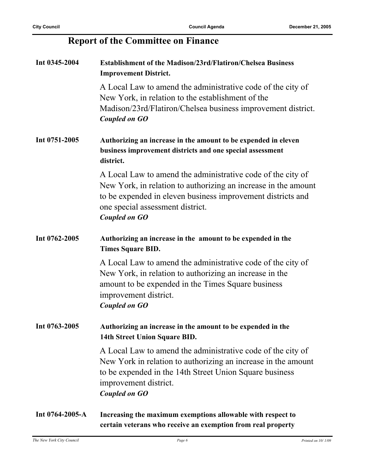### **Report of the Committee on Finance**

| Int 0345-2004   | <b>Establishment of the Madison/23rd/Flatiron/Chelsea Business</b><br><b>Improvement District.</b>                                                                                                                                                       |
|-----------------|----------------------------------------------------------------------------------------------------------------------------------------------------------------------------------------------------------------------------------------------------------|
|                 | A Local Law to amend the administrative code of the city of<br>New York, in relation to the establishment of the<br>Madison/23rd/Flatiron/Chelsea business improvement district.<br>Coupled on GO                                                        |
| Int 0751-2005   | Authorizing an increase in the amount to be expended in eleven<br>business improvement districts and one special assessment<br>district.                                                                                                                 |
|                 | A Local Law to amend the administrative code of the city of<br>New York, in relation to authorizing an increase in the amount<br>to be expended in eleven business improvement districts and<br>one special assessment district.<br><b>Coupled on GO</b> |
| Int 0762-2005   | Authorizing an increase in the amount to be expended in the<br><b>Times Square BID.</b>                                                                                                                                                                  |
|                 | A Local Law to amend the administrative code of the city of<br>New York, in relation to authorizing an increase in the<br>amount to be expended in the Times Square business<br>improvement district.<br><b>Coupled on GO</b>                            |
| Int 0763-2005   | Authorizing an increase in the amount to be expended in the<br>14th Street Union Square BID.                                                                                                                                                             |
|                 | A Local Law to amend the administrative code of the city of<br>New York in relation to authorizing an increase in the amount<br>to be expended in the 14th Street Union Square business<br>improvement district.<br><b>Coupled on GO</b>                 |
| Int 0764-2005-A | Increasing the maximum exemptions allowable with respect to<br>certain veterans who receive an exemption from real property                                                                                                                              |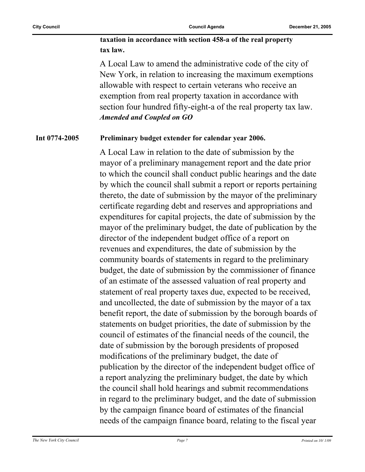**taxation in accordance with section 458-a of the real property tax law.**

A Local Law to amend the administrative code of the city of New York, in relation to increasing the maximum exemptions allowable with respect to certain veterans who receive an exemption from real property taxation in accordance with section four hundred fifty-eight-a of the real property tax law. *Amended and Coupled on GO*

#### **Int 0774-2005 Preliminary budget extender for calendar year 2006.**

A Local Law in relation to the date of submission by the mayor of a preliminary management report and the date prior to which the council shall conduct public hearings and the date by which the council shall submit a report or reports pertaining thereto, the date of submission by the mayor of the preliminary certificate regarding debt and reserves and appropriations and expenditures for capital projects, the date of submission by the mayor of the preliminary budget, the date of publication by the director of the independent budget office of a report on revenues and expenditures, the date of submission by the community boards of statements in regard to the preliminary budget, the date of submission by the commissioner of finance of an estimate of the assessed valuation of real property and statement of real property taxes due, expected to be received, and uncollected, the date of submission by the mayor of a tax benefit report, the date of submission by the borough boards of statements on budget priorities, the date of submission by the council of estimates of the financial needs of the council, the date of submission by the borough presidents of proposed modifications of the preliminary budget, the date of publication by the director of the independent budget office of a report analyzing the preliminary budget, the date by which the council shall hold hearings and submit recommendations in regard to the preliminary budget, and the date of submission by the campaign finance board of estimates of the financial needs of the campaign finance board, relating to the fiscal year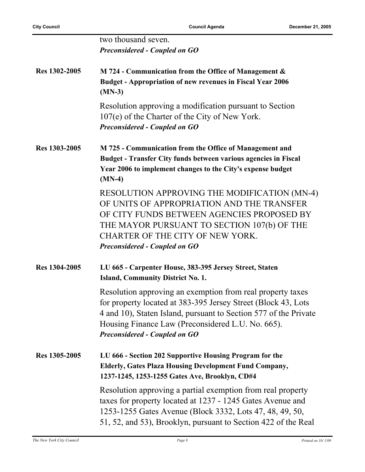|               | two thousand seven.<br><b>Preconsidered - Coupled on GO</b>                                                                                                                                                                                                                                  |
|---------------|----------------------------------------------------------------------------------------------------------------------------------------------------------------------------------------------------------------------------------------------------------------------------------------------|
| Res 1302-2005 | M 724 - Communication from the Office of Management $\&$<br><b>Budget - Appropriation of new revenues in Fiscal Year 2006</b><br>$(MN-3)$                                                                                                                                                    |
|               | Resolution approving a modification pursuant to Section<br>107(e) of the Charter of the City of New York.<br><b>Preconsidered - Coupled on GO</b>                                                                                                                                            |
| Res 1303-2005 | M 725 - Communication from the Office of Management and<br><b>Budget - Transfer City funds between various agencies in Fiscal</b><br>Year 2006 to implement changes to the City's expense budget<br>$(MN-4)$                                                                                 |
|               | RESOLUTION APPROVING THE MODIFICATION (MN-4)<br>OF UNITS OF APPROPRIATION AND THE TRANSFER<br>OF CITY FUNDS BETWEEN AGENCIES PROPOSED BY<br>THE MAYOR PURSUANT TO SECTION 107(b) OF THE<br>CHARTER OF THE CITY OF NEW YORK.<br><b>Preconsidered - Coupled on GO</b>                          |
| Res 1304-2005 | LU 665 - Carpenter House, 383-395 Jersey Street, Staten<br><b>Island, Community District No. 1.</b>                                                                                                                                                                                          |
|               | Resolution approving an exemption from real property taxes<br>for property located at 383-395 Jersey Street (Block 43, Lots<br>4 and 10), Staten Island, pursuant to Section 577 of the Private<br>Housing Finance Law (Preconsidered L.U. No. 665).<br><b>Preconsidered - Coupled on GO</b> |
| Res 1305-2005 | LU 666 - Section 202 Supportive Housing Program for the<br><b>Elderly, Gates Plaza Housing Development Fund Company,</b><br>1237-1245, 1253-1255 Gates Ave, Brooklyn, CD#4                                                                                                                   |
|               | Resolution approving a partial exemption from real property<br>taxes for property located at 1237 - 1245 Gates Avenue and<br>1253-1255 Gates Avenue (Block 3332, Lots 47, 48, 49, 50,<br>51, 52, and 53), Brooklyn, pursuant to Section 422 of the Real                                      |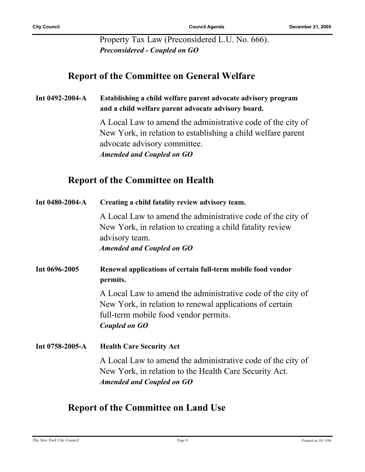Property Tax Law (Preconsidered L.U. No. 666). *Preconsidered - Coupled on GO*

### **Report of the Committee on General Welfare**

#### **Int 0492-2004-A Establishing a child welfare parent advocate advisory program and a child welfare parent advocate advisory board.**

A Local Law to amend the administrative code of the city of New York, in relation to establishing a child welfare parent advocate advisory committee. *Amended and Coupled on GO*

### **Report of the Committee on Health**

| Int 0480-2004-A | Creating a child fatality review advisory team.                                                                                                                                   |
|-----------------|-----------------------------------------------------------------------------------------------------------------------------------------------------------------------------------|
|                 | A Local Law to amend the administrative code of the city of<br>New York, in relation to creating a child fatality review<br>advisory team.<br><b>Amended and Coupled on GO</b>    |
| Int 0696-2005   | Renewal applications of certain full-term mobile food vendor<br>permits.                                                                                                          |
|                 | A Local Law to amend the administrative code of the city of<br>New York, in relation to renewal applications of certain<br>full-term mobile food vendor permits.<br>Coupled on GO |
| Int 0758-2005-A | <b>Health Care Security Act</b>                                                                                                                                                   |
|                 | A Local Law to amend the administrative code of the city of<br>New York, in relation to the Health Care Security Act.<br><b>Amended and Coupled on GO</b>                         |

### **Report of the Committee on Land Use**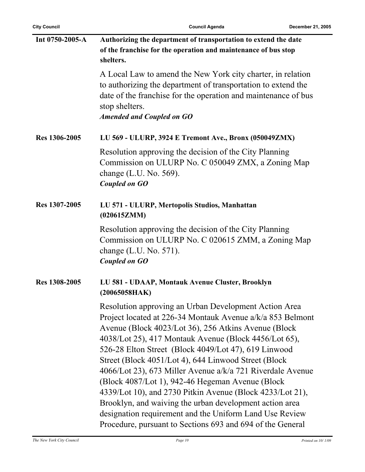| Int 0750-2005-A | Authorizing the department of transportation to extend the date<br>of the franchise for the operation and maintenance of bus stop<br>shelters.                                                                                                                                                                                                                                                                                                                                                                                                                                                                                                                                                                           |
|-----------------|--------------------------------------------------------------------------------------------------------------------------------------------------------------------------------------------------------------------------------------------------------------------------------------------------------------------------------------------------------------------------------------------------------------------------------------------------------------------------------------------------------------------------------------------------------------------------------------------------------------------------------------------------------------------------------------------------------------------------|
|                 | A Local Law to amend the New York city charter, in relation<br>to authorizing the department of transportation to extend the<br>date of the franchise for the operation and maintenance of bus<br>stop shelters.<br><b>Amended and Coupled on GO</b>                                                                                                                                                                                                                                                                                                                                                                                                                                                                     |
| Res 1306-2005   | LU 569 - ULURP, 3924 E Tremont Ave., Bronx (050049ZMX)                                                                                                                                                                                                                                                                                                                                                                                                                                                                                                                                                                                                                                                                   |
|                 | Resolution approving the decision of the City Planning<br>Commission on ULURP No. C 050049 ZMX, a Zoning Map<br>change $(L.U. No. 569)$ .<br><b>Coupled on GO</b>                                                                                                                                                                                                                                                                                                                                                                                                                                                                                                                                                        |
| Res 1307-2005   | LU 571 - ULURP, Mertopolis Studios, Manhattan<br>(020615ZMM)                                                                                                                                                                                                                                                                                                                                                                                                                                                                                                                                                                                                                                                             |
|                 | Resolution approving the decision of the City Planning<br>Commission on ULURP No. C 020615 ZMM, a Zoning Map<br>change $(L.U. No. 571)$ .<br><b>Coupled on GO</b>                                                                                                                                                                                                                                                                                                                                                                                                                                                                                                                                                        |
| Res 1308-2005   | LU 581 - UDAAP, Montauk Avenue Cluster, Brooklyn<br>(20065058HAK)                                                                                                                                                                                                                                                                                                                                                                                                                                                                                                                                                                                                                                                        |
|                 | Resolution approving an Urban Development Action Area<br>Project located at 226-34 Montauk Avenue a/k/a 853 Belmont<br>Avenue (Block 4023/Lot 36), 256 Atkins Avenue (Block<br>4038/Lot 25), 417 Montauk Avenue (Block 4456/Lot 65),<br>526-28 Elton Street (Block 4049/Lot 47), 619 Linwood<br>Street (Block 4051/Lot 4), 644 Linwood Street (Block<br>4066/Lot 23), 673 Miller Avenue a/k/a 721 Riverdale Avenue<br>(Block 4087/Lot 1), 942-46 Hegeman Avenue (Block)<br>4339/Lot 10), and 2730 Pitkin Avenue (Block 4233/Lot 21),<br>Brooklyn, and waiving the urban development action area<br>designation requirement and the Uniform Land Use Review<br>Procedure, pursuant to Sections 693 and 694 of the General |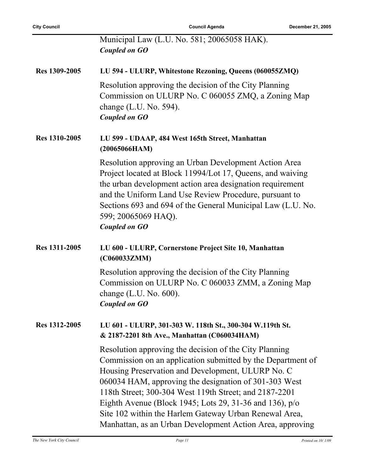| <b>City Council</b> | <b>Council Agenda</b>                                                                                                                                                                                                                                                                                                                                                                                                                                                           | December 21, 2005 |
|---------------------|---------------------------------------------------------------------------------------------------------------------------------------------------------------------------------------------------------------------------------------------------------------------------------------------------------------------------------------------------------------------------------------------------------------------------------------------------------------------------------|-------------------|
|                     | Municipal Law (L.U. No. 581; 20065058 HAK).<br><b>Coupled on GO</b>                                                                                                                                                                                                                                                                                                                                                                                                             |                   |
| Res 1309-2005       | LU 594 - ULURP, Whitestone Rezoning, Queens (060055ZMQ)                                                                                                                                                                                                                                                                                                                                                                                                                         |                   |
|                     | Resolution approving the decision of the City Planning<br>Commission on ULURP No. C 060055 ZMQ, a Zoning Map<br>change $(L.U. No. 594)$ .<br><b>Coupled on GO</b>                                                                                                                                                                                                                                                                                                               |                   |
| Res 1310-2005       | LU 599 - UDAAP, 484 West 165th Street, Manhattan<br>(20065066HAM)                                                                                                                                                                                                                                                                                                                                                                                                               |                   |
|                     | Resolution approving an Urban Development Action Area<br>Project located at Block 11994/Lot 17, Queens, and waiving<br>the urban development action area designation requirement<br>and the Uniform Land Use Review Procedure, pursuant to<br>Sections 693 and 694 of the General Municipal Law (L.U. No.<br>599; 20065069 HAQ).<br><b>Coupled on GO</b>                                                                                                                        |                   |
| Res 1311-2005       | LU 600 - ULURP, Cornerstone Project Site 10, Manhattan<br>(C060033ZMM)                                                                                                                                                                                                                                                                                                                                                                                                          |                   |
|                     | Resolution approving the decision of the City Planning<br>Commission on ULURP No. C 060033 ZMM, a Zoning Map<br>change (L.U. No. 600).<br><b>Coupled on GO</b>                                                                                                                                                                                                                                                                                                                  |                   |
| Res 1312-2005       | LU 601 - ULURP, 301-303 W. 118th St., 300-304 W.119th St.<br>& 2187-2201 8th Ave., Manhattan (C060034HAM)                                                                                                                                                                                                                                                                                                                                                                       |                   |
|                     | Resolution approving the decision of the City Planning<br>Commission on an application submitted by the Department of<br>Housing Preservation and Development, ULURP No. C<br>060034 HAM, approving the designation of 301-303 West<br>118th Street; 300-304 West 119th Street; and 2187-2201<br>Eighth Avenue (Block 1945; Lots 29, 31-36 and 136), p/o<br>Site 102 within the Harlem Gateway Urban Renewal Area,<br>Manhattan, as an Urban Development Action Area, approving |                   |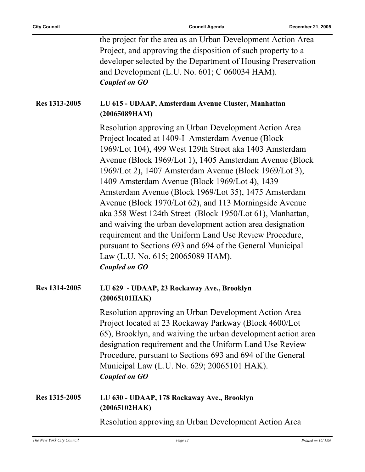|               | the project for the area as an Urban Development Action Area<br>Project, and approving the disposition of such property to a<br>developer selected by the Department of Housing Preservation<br>and Development (L.U. No. 601; C 060034 HAM).<br><b>Coupled on GO</b>                                                                                                                                                                                                                                                                                                                                                                                                                                                                                                        |
|---------------|------------------------------------------------------------------------------------------------------------------------------------------------------------------------------------------------------------------------------------------------------------------------------------------------------------------------------------------------------------------------------------------------------------------------------------------------------------------------------------------------------------------------------------------------------------------------------------------------------------------------------------------------------------------------------------------------------------------------------------------------------------------------------|
| Res 1313-2005 | LU 615 - UDAAP, Amsterdam Avenue Cluster, Manhattan<br>(20065089HAM)                                                                                                                                                                                                                                                                                                                                                                                                                                                                                                                                                                                                                                                                                                         |
|               | Resolution approving an Urban Development Action Area<br>Project located at 1409-I Amsterdam Avenue (Block<br>1969/Lot 104), 499 West 129th Street aka 1403 Amsterdam<br>Avenue (Block 1969/Lot 1), 1405 Amsterdam Avenue (Block<br>1969/Lot 2), 1407 Amsterdam Avenue (Block 1969/Lot 3),<br>1409 Amsterdam Avenue (Block 1969/Lot 4), 1439<br>Amsterdam Avenue (Block 1969/Lot 35), 1475 Amsterdam<br>Avenue (Block 1970/Lot 62), and 113 Morningside Avenue<br>aka 358 West 124th Street (Block 1950/Lot 61), Manhattan,<br>and waiving the urban development action area designation<br>requirement and the Uniform Land Use Review Procedure,<br>pursuant to Sections 693 and 694 of the General Municipal<br>Law (L.U. No. 615; 20065089 HAM).<br><b>Coupled on GO</b> |
| Res 1314-2005 | LU 629 - UDAAP, 23 Rockaway Ave., Brooklyn<br>(20065101HAK)                                                                                                                                                                                                                                                                                                                                                                                                                                                                                                                                                                                                                                                                                                                  |
|               | Resolution approving an Urban Development Action Area<br>Project located at 23 Rockaway Parkway (Block 4600/Lot<br>65), Brooklyn, and waiving the urban development action area<br>designation requirement and the Uniform Land Use Review<br>Procedure, pursuant to Sections 693 and 694 of the General<br>Municipal Law (L.U. No. 629; 20065101 HAK).<br><b>Coupled on GO</b>                                                                                                                                                                                                                                                                                                                                                                                              |
| Res 1315-2005 | LU 630 - UDAAP, 178 Rockaway Ave., Brooklyn<br>(20065102HAK)                                                                                                                                                                                                                                                                                                                                                                                                                                                                                                                                                                                                                                                                                                                 |
|               | Resolution approving an Urban Development Action Area                                                                                                                                                                                                                                                                                                                                                                                                                                                                                                                                                                                                                                                                                                                        |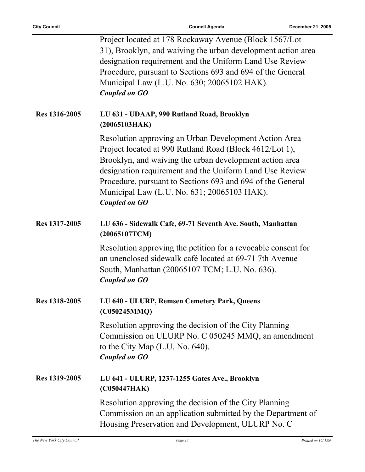|                      | Project located at 178 Rockaway Avenue (Block 1567/Lot)<br>31), Brooklyn, and waiving the urban development action area<br>designation requirement and the Uniform Land Use Review<br>Procedure, pursuant to Sections 693 and 694 of the General<br>Municipal Law (L.U. No. 630; 20065102 HAK).<br><b>Coupled on GO</b>                                                     |
|----------------------|-----------------------------------------------------------------------------------------------------------------------------------------------------------------------------------------------------------------------------------------------------------------------------------------------------------------------------------------------------------------------------|
| Res 1316-2005        | LU 631 - UDAAP, 990 Rutland Road, Brooklyn<br>(20065103HAK)                                                                                                                                                                                                                                                                                                                 |
|                      | Resolution approving an Urban Development Action Area<br>Project located at 990 Rutland Road (Block 4612/Lot 1),<br>Brooklyn, and waiving the urban development action area<br>designation requirement and the Uniform Land Use Review<br>Procedure, pursuant to Sections 693 and 694 of the General<br>Municipal Law (L.U. No. 631; 20065103 HAK).<br><b>Coupled on GO</b> |
| Res 1317-2005        | LU 636 - Sidewalk Cafe, 69-71 Seventh Ave. South, Manhattan<br>(20065107TCM)                                                                                                                                                                                                                                                                                                |
|                      | Resolution approving the petition for a revocable consent for<br>an unenclosed sidewalk café located at 69-71 7th Avenue<br>South, Manhattan (20065107 TCM; L.U. No. 636).<br><b>Coupled on GO</b>                                                                                                                                                                          |
| <b>Res 1318-2005</b> | LU 640 - ULURP, Remsen Cemetery Park, Queens<br>(C050245MMQ)                                                                                                                                                                                                                                                                                                                |
|                      | Resolution approving the decision of the City Planning<br>Commission on ULURP No. C 050245 MMQ, an amendment<br>to the City Map (L.U. No. 640).<br><b>Coupled on GO</b>                                                                                                                                                                                                     |
| Res 1319-2005        | LU 641 - ULURP, 1237-1255 Gates Ave., Brooklyn<br>(C050447HAK)                                                                                                                                                                                                                                                                                                              |
|                      | Resolution approving the decision of the City Planning<br>Commission on an application submitted by the Department of<br>Housing Preservation and Development, ULURP No. C                                                                                                                                                                                                  |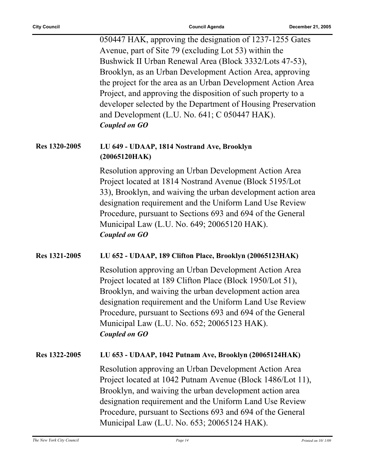|               | 050447 HAK, approving the designation of 1237-1255 Gates<br>Avenue, part of Site 79 (excluding Lot 53) within the<br>Bushwick II Urban Renewal Area (Block 3332/Lots 47-53),<br>Brooklyn, as an Urban Development Action Area, approving<br>the project for the area as an Urban Development Action Area<br>Project, and approving the disposition of such property to a         |
|---------------|----------------------------------------------------------------------------------------------------------------------------------------------------------------------------------------------------------------------------------------------------------------------------------------------------------------------------------------------------------------------------------|
|               | developer selected by the Department of Housing Preservation<br>and Development (L.U. No. 641; C 050447 HAK).<br><b>Coupled on GO</b>                                                                                                                                                                                                                                            |
| Res 1320-2005 | LU 649 - UDAAP, 1814 Nostrand Ave, Brooklyn<br>(20065120HAK)                                                                                                                                                                                                                                                                                                                     |
|               | Resolution approving an Urban Development Action Area<br>Project located at 1814 Nostrand Avenue (Block 5195/Lot<br>33), Brooklyn, and waiving the urban development action area<br>designation requirement and the Uniform Land Use Review<br>Procedure, pursuant to Sections 693 and 694 of the General<br>Municipal Law (L.U. No. 649; 20065120 HAK).<br><b>Coupled on GO</b> |
| Res 1321-2005 | LU 652 - UDAAP, 189 Clifton Place, Brooklyn (20065123HAK)                                                                                                                                                                                                                                                                                                                        |
|               | Resolution approving an Urban Development Action Area<br>Project located at 189 Clifton Place (Block 1950/Lot 51),<br>Brooklyn, and waiving the urban development action area<br>designation requirement and the Uniform Land Use Review<br>Procedure, pursuant to Sections 693 and 694 of the General<br>Municipal Law (L.U. No. 652; 20065123 HAK).<br><b>Coupled on GO</b>    |
| Res 1322-2005 | LU 653 - UDAAP, 1042 Putnam Ave, Brooklyn (20065124HAK)                                                                                                                                                                                                                                                                                                                          |
|               | Resolution approving an Urban Development Action Area<br>Project located at 1042 Putnam Avenue (Block 1486/Lot 11),<br>Brooklyn, and waiving the urban development action area<br>designation requirement and the Uniform Land Use Review<br>Procedure, pursuant to Sections 693 and 694 of the General<br>Municipal Law (L.U. No. 653; 20065124 HAK).                           |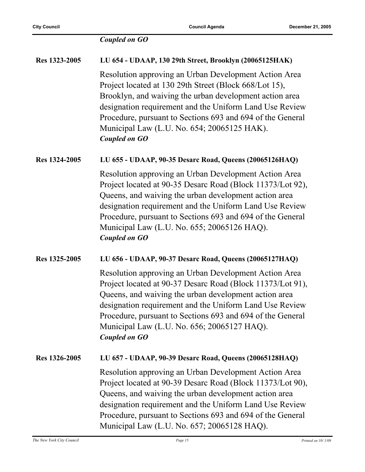### *Coupled on GO*

| Res 1323-2005 | LU 654 - UDAAP, 130 29th Street, Brooklyn (20065125HAK)                                                                                                                                                                                                                                                                                                                      |
|---------------|------------------------------------------------------------------------------------------------------------------------------------------------------------------------------------------------------------------------------------------------------------------------------------------------------------------------------------------------------------------------------|
|               | Resolution approving an Urban Development Action Area<br>Project located at 130 29th Street (Block 668/Lot 15),<br>Brooklyn, and waiving the urban development action area<br>designation requirement and the Uniform Land Use Review<br>Procedure, pursuant to Sections 693 and 694 of the General<br>Municipal Law (L.U. No. 654; 20065125 HAK).<br><b>Coupled on GO</b>   |
| Res 1324-2005 | LU 655 - UDAAP, 90-35 Desarc Road, Queens (20065126HAQ)                                                                                                                                                                                                                                                                                                                      |
|               | Resolution approving an Urban Development Action Area<br>Project located at 90-35 Desarc Road (Block 11373/Lot 92),<br>Queens, and waiving the urban development action area<br>designation requirement and the Uniform Land Use Review<br>Procedure, pursuant to Sections 693 and 694 of the General<br>Municipal Law (L.U. No. 655; 20065126 HAQ).<br><b>Coupled on GO</b> |
| Res 1325-2005 | LU 656 - UDAAP, 90-37 Desarc Road, Queens (20065127HAQ)                                                                                                                                                                                                                                                                                                                      |
|               | Resolution approving an Urban Development Action Area<br>Project located at 90-37 Desarc Road (Block 11373/Lot 91),<br>Queens, and waiving the urban development action area<br>designation requirement and the Uniform Land Use Review<br>Procedure, pursuant to Sections 693 and 694 of the General<br>Municipal Law (L.U. No. 656; 20065127 HAQ).<br><b>Coupled on GO</b> |
| Res 1326-2005 | LU 657 - UDAAP, 90-39 Desarc Road, Queens (20065128HAQ)                                                                                                                                                                                                                                                                                                                      |
|               | Resolution approving an Urban Development Action Area<br>Project located at 90-39 Desarc Road (Block 11373/Lot 90),<br>Queens, and waiving the urban development action area<br>designation requirement and the Uniform Land Use Review<br>Procedure, pursuant to Sections 693 and 694 of the General<br>Municipal Law (L.U. No. 657; 20065128 HAQ).                         |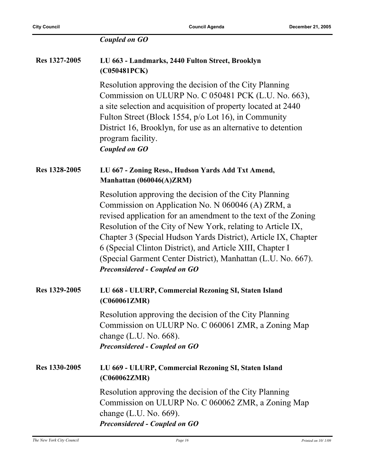|               | <b>Coupled on GO</b>                                                                                                                                                                                                                                                                                                                                                                                                                                                                |
|---------------|-------------------------------------------------------------------------------------------------------------------------------------------------------------------------------------------------------------------------------------------------------------------------------------------------------------------------------------------------------------------------------------------------------------------------------------------------------------------------------------|
| Res 1327-2005 | LU 663 - Landmarks, 2440 Fulton Street, Brooklyn<br>(C050481PCK)                                                                                                                                                                                                                                                                                                                                                                                                                    |
|               | Resolution approving the decision of the City Planning<br>Commission on ULURP No. C 050481 PCK (L.U. No. 663),<br>a site selection and acquisition of property located at 2440<br>Fulton Street (Block 1554, p/o Lot 16), in Community<br>District 16, Brooklyn, for use as an alternative to detention<br>program facility.<br><b>Coupled on GO</b>                                                                                                                                |
| Res 1328-2005 | LU 667 - Zoning Reso., Hudson Yards Add Txt Amend,<br>Manhattan (060046(A)ZRM)                                                                                                                                                                                                                                                                                                                                                                                                      |
|               | Resolution approving the decision of the City Planning<br>Commission on Application No. N 060046 (A) ZRM, a<br>revised application for an amendment to the text of the Zoning<br>Resolution of the City of New York, relating to Article IX,<br>Chapter 3 (Special Hudson Yards District), Article IX, Chapter<br>6 (Special Clinton District), and Article XIII, Chapter I<br>(Special Garment Center District), Manhattan (L.U. No. 667).<br><b>Preconsidered - Coupled on GO</b> |
| Res 1329-2005 | LU 668 - ULURP, Commercial Rezoning SI, Staten Island<br>(C060061ZMR)                                                                                                                                                                                                                                                                                                                                                                                                               |
|               | Resolution approving the decision of the City Planning<br>Commission on ULURP No. C 060061 ZMR, a Zoning Map<br>change $(L.U. No. 668)$ .<br><b>Preconsidered - Coupled on GO</b>                                                                                                                                                                                                                                                                                                   |
| Res 1330-2005 | LU 669 - ULURP, Commercial Rezoning SI, Staten Island<br>(C060062ZMR)                                                                                                                                                                                                                                                                                                                                                                                                               |
|               | Resolution approving the decision of the City Planning<br>Commission on ULURP No. C 060062 ZMR, a Zoning Map<br>change $(L.U. No. 669)$ .<br><b>Preconsidered - Coupled on GO</b>                                                                                                                                                                                                                                                                                                   |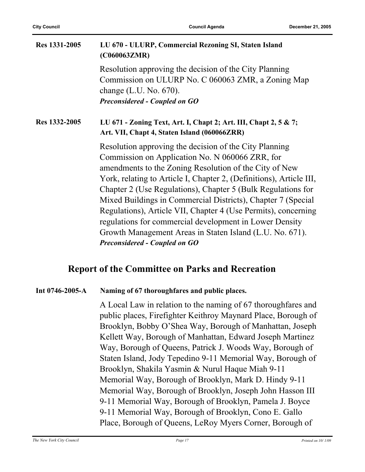| Res 1331-2005 | LU 670 - ULURP, Commercial Rezoning SI, Staten Island<br>(C060063ZMR)                                                                                                                                                                                     |
|---------------|-----------------------------------------------------------------------------------------------------------------------------------------------------------------------------------------------------------------------------------------------------------|
|               | Resolution approving the decision of the City Planning<br>Commission on ULURP No. C 060063 ZMR, a Zoning Map<br>change $(L.U. No. 670)$ .<br><b>Preconsidered - Coupled on GO</b>                                                                         |
|               |                                                                                                                                                                                                                                                           |
| Res 1332-2005 | LU 671 - Zoning Text, Art. I, Chapt 2; Art. III, Chapt 2, 5 & 7;<br>Art. VII, Chapt 4, Staten Island (060066ZRR)                                                                                                                                          |
|               | Resolution approving the decision of the City Planning<br>Commission on Application No. N 060066 ZRR, for<br>amendments to the Zoning Resolution of the City of New<br>York, relating to Article I, Chapter 2, (Definitions), Article III,                |
|               | Chapter 2 (Use Regulations), Chapter 5 (Bulk Regulations for<br>Mixed Buildings in Commercial Districts), Chapter 7 (Special<br>Regulations), Article VII, Chapter 4 (Use Permits), concerning<br>regulations for commercial development in Lower Density |
|               | Growth Management Areas in Staten Island (L.U. No. 671).<br><b>Preconsidered - Coupled on GO</b>                                                                                                                                                          |

### **Report of the Committee on Parks and Recreation**

#### **Int 0746-2005-A Naming of 67 thoroughfares and public places.**

A Local Law in relation to the naming of 67 thoroughfares and public places, Firefighter Keithroy Maynard Place, Borough of Brooklyn, Bobby O'Shea Way, Borough of Manhattan, Joseph Kellett Way, Borough of Manhattan, Edward Joseph Martinez Way, Borough of Queens, Patrick J. Woods Way, Borough of Staten Island, Jody Tepedino 9-11 Memorial Way, Borough of Brooklyn, Shakila Yasmin & Nurul Haque Miah 9-11 Memorial Way, Borough of Brooklyn, Mark D. Hindy 9-11 Memorial Way, Borough of Brooklyn, Joseph John Hasson III 9-11 Memorial Way, Borough of Brooklyn, Pamela J. Boyce 9-11 Memorial Way, Borough of Brooklyn, Cono E. Gallo Place, Borough of Queens, LeRoy Myers Corner, Borough of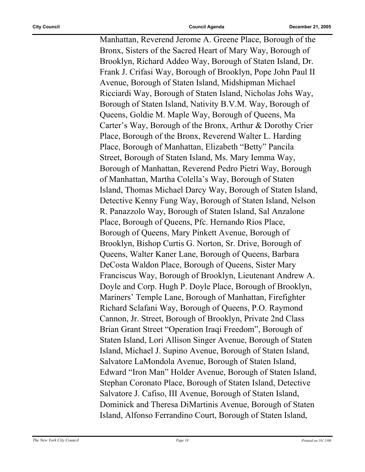Manhattan, Reverend Jerome A. Greene Place, Borough of the Bronx, Sisters of the Sacred Heart of Mary Way, Borough of Brooklyn, Richard Addeo Way, Borough of Staten Island, Dr. Frank J. Crifasi Way, Borough of Brooklyn, Pope John Paul II Avenue, Borough of Staten Island, Midshipman Michael Ricciardi Way, Borough of Staten Island, Nicholas Johs Way, Borough of Staten Island, Nativity B.V.M. Way, Borough of Queens, Goldie M. Maple Way, Borough of Queens, Ma Carter's Way, Borough of the Bronx, Arthur & Dorothy Crier Place, Borough of the Bronx, Reverend Walter L. Harding Place, Borough of Manhattan, Elizabeth "Betty" Pancila Street, Borough of Staten Island, Ms. Mary Iemma Way, Borough of Manhattan, Reverend Pedro Pietri Way, Borough of Manhattan, Martha Colella's Way, Borough of Staten Island, Thomas Michael Darcy Way, Borough of Staten Island, Detective Kenny Fung Way, Borough of Staten Island, Nelson R. Panazzolo Way, Borough of Staten Island, Sal Anzalone Place, Borough of Queens, Pfc. Hernando Rios Place, Borough of Queens, Mary Pinkett Avenue, Borough of Brooklyn, Bishop Curtis G. Norton, Sr. Drive, Borough of Queens, Walter Kaner Lane, Borough of Queens, Barbara DeCosta Waldon Place, Borough of Queens, Sister Mary Franciscus Way, Borough of Brooklyn, Lieutenant Andrew A. Doyle and Corp. Hugh P. Doyle Place, Borough of Brooklyn, Mariners' Temple Lane, Borough of Manhattan, Firefighter Richard Sclafani Way, Borough of Queens, P.O. Raymond Cannon, Jr. Street, Borough of Brooklyn, Private 2nd Class Brian Grant Street "Operation Iraqi Freedom", Borough of Staten Island, Lori Allison Singer Avenue, Borough of Staten Island, Michael J. Supino Avenue, Borough of Staten Island, Salvatore LaMondola Avenue, Borough of Staten Island, Edward "Iron Man" Holder Avenue, Borough of Staten Island, Stephan Coronato Place, Borough of Staten Island, Detective Salvatore J. Cafiso, III Avenue, Borough of Staten Island, Dominick and Theresa DiMartinis Avenue, Borough of Staten Island, Alfonso Ferrandino Court, Borough of Staten Island,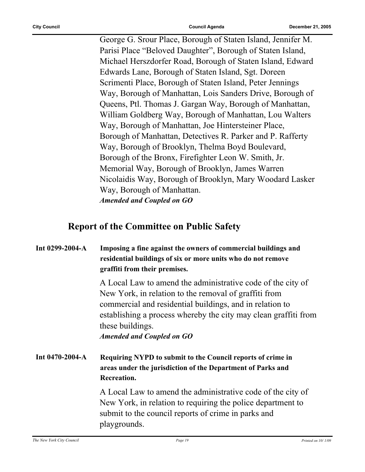George G. Srour Place, Borough of Staten Island, Jennifer M. Parisi Place "Beloved Daughter", Borough of Staten Island, Michael Herszdorfer Road, Borough of Staten Island, Edward Edwards Lane, Borough of Staten Island, Sgt. Doreen Scrimenti Place, Borough of Staten Island, Peter Jennings Way, Borough of Manhattan, Lois Sanders Drive, Borough of Queens, Ptl. Thomas J. Gargan Way, Borough of Manhattan, William Goldberg Way, Borough of Manhattan, Lou Walters Way, Borough of Manhattan, Joe Hintersteiner Place, Borough of Manhattan, Detectives R. Parker and P. Rafferty Way, Borough of Brooklyn, Thelma Boyd Boulevard, Borough of the Bronx, Firefighter Leon W. Smith, Jr. Memorial Way, Borough of Brooklyn, James Warren Nicolaidis Way, Borough of Brooklyn, Mary Woodard Lasker Way, Borough of Manhattan. *Amended and Coupled on GO*

### **Report of the Committee on Public Safety**

| Int $0299-2004-A$     | Imposing a fine against the owners of commercial buildings and<br>residential buildings of six or more units who do not remove<br>graffiti from their premises.                                                                                                                                             |
|-----------------------|-------------------------------------------------------------------------------------------------------------------------------------------------------------------------------------------------------------------------------------------------------------------------------------------------------------|
|                       | A Local Law to amend the administrative code of the city of<br>New York, in relation to the removal of graffiti from<br>commercial and residential buildings, and in relation to<br>establishing a process whereby the city may clean graffiti from<br>these buildings.<br><b>Amended and Coupled on GO</b> |
| Int $0470 - 2004 - A$ | Requiring NYPD to submit to the Council reports of crime in<br>areas under the jurisdiction of the Department of Parks and<br>Recreation.                                                                                                                                                                   |
|                       | A Local Law to amend the administrative code of the city of<br>New York, in relation to requiring the police department to<br>submit to the council reports of crime in parks and<br>playgrounds.                                                                                                           |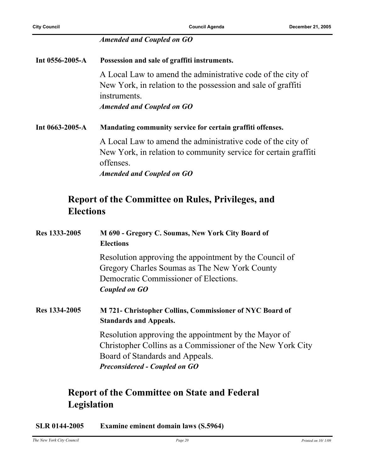|  | <b>Amended and Coupled on GO</b> |
|--|----------------------------------|
|--|----------------------------------|

**Int 0556-2005-A Possession and sale of graffiti instruments.** A Local Law to amend the administrative code of the city of New York, in relation to the possession and sale of graffiti instruments. *Amended and Coupled on GO* **Int 0663-2005-A Mandating community service for certain graffiti offenses.** A Local Law to amend the administrative code of the city of New York, in relation to community service for certain graffiti offenses. *Amended and Coupled on GO*

### **Report of the Committee on Rules, Privileges, and Elections**

| Res 1333-2005 | M 690 - Gregory C. Soumas, New York City Board of<br><b>Elections</b>                                                                                                                         |
|---------------|-----------------------------------------------------------------------------------------------------------------------------------------------------------------------------------------------|
|               | Resolution approving the appointment by the Council of<br>Gregory Charles Soumas as The New York County<br>Democratic Commissioner of Elections.<br>Coupled on GO                             |
| Res 1334-2005 | M 721- Christopher Collins, Commissioner of NYC Board of<br><b>Standards and Appeals.</b>                                                                                                     |
|               | Resolution approving the appointment by the Mayor of<br>Christopher Collins as a Commissioner of the New York City<br>Board of Standards and Appeals.<br><b>Preconsidered - Coupled on GO</b> |

### **Report of the Committee on State and Federal Legislation**

**SLR 0144-2005 Examine eminent domain laws (S.5964)**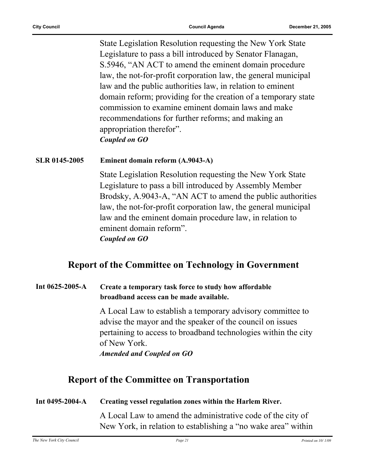State Legislation Resolution requesting the New York State Legislature to pass a bill introduced by Senator Flanagan, S.5946, "AN ACT to amend the eminent domain procedure law, the not-for-profit corporation law, the general municipal law and the public authorities law, in relation to eminent domain reform; providing for the creation of a temporary state commission to examine eminent domain laws and make recommendations for further reforms; and making an appropriation therefor". *Coupled on GO*

#### **SLR 0145-2005 Eminent domain reform (A.9043-A)**

State Legislation Resolution requesting the New York State Legislature to pass a bill introduced by Assembly Member Brodsky, A.9043-A, "AN ACT to amend the public authorities law, the not-for-profit corporation law, the general municipal law and the eminent domain procedure law, in relation to eminent domain reform". *Coupled on GO*

#### **Report of the Committee on Technology in Government**

#### **Int 0625-2005-A Create a temporary task force to study how affordable broadband access can be made available.**

A Local Law to establish a temporary advisory committee to advise the mayor and the speaker of the council on issues pertaining to access to broadband technologies within the city of New York.

*Amended and Coupled on GO*

### **Report of the Committee on Transportation**

| Int $0495 - 2004 - A$ | Creating vessel regulation zones within the Harlem River. |
|-----------------------|-----------------------------------------------------------|
|-----------------------|-----------------------------------------------------------|

A Local Law to amend the administrative code of the city of New York, in relation to establishing a "no wake area" within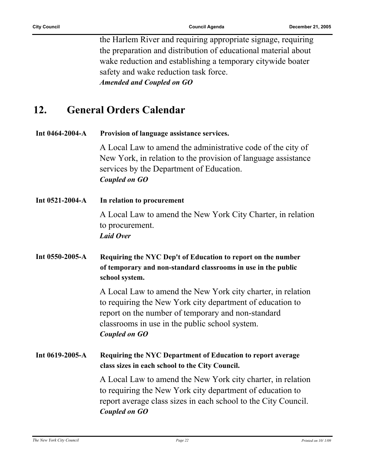the Harlem River and requiring appropriate signage, requiring the preparation and distribution of educational material about wake reduction and establishing a temporary citywide boater safety and wake reduction task force. *Amended and Coupled on GO*

### **12. General Orders Calendar**

| Int 0464-2004-A | Provision of language assistance services.                                                                                                                                                                                                               |
|-----------------|----------------------------------------------------------------------------------------------------------------------------------------------------------------------------------------------------------------------------------------------------------|
|                 | A Local Law to amend the administrative code of the city of<br>New York, in relation to the provision of language assistance<br>services by the Department of Education.<br><b>Coupled on GO</b>                                                         |
| Int 0521-2004-A | In relation to procurement                                                                                                                                                                                                                               |
|                 | A Local Law to amend the New York City Charter, in relation<br>to procurement.<br><b>Laid Over</b>                                                                                                                                                       |
| Int 0550-2005-A | Requiring the NYC Dep't of Education to report on the number<br>of temporary and non-standard classrooms in use in the public<br>school system.                                                                                                          |
|                 | A Local Law to amend the New York city charter, in relation<br>to requiring the New York city department of education to<br>report on the number of temporary and non-standard<br>classrooms in use in the public school system.<br><b>Coupled on GO</b> |
| Int 0619-2005-A | Requiring the NYC Department of Education to report average<br>class sizes in each school to the City Council.                                                                                                                                           |
|                 | A Local Law to amend the New York city charter, in relation<br>to requiring the New York city department of education to<br>report average class sizes in each school to the City Council.<br>Coupled on GO                                              |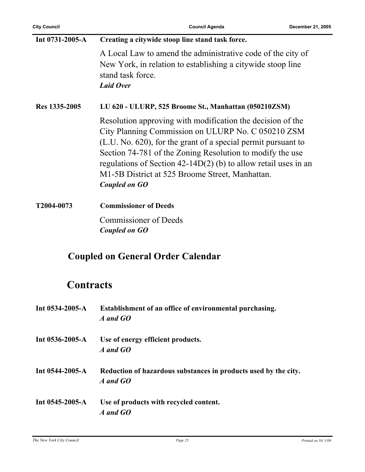| Int 0731-2005-A  | Creating a citywide stoop line stand task force.                                                                                                                                                                                                                                                                                                                                        |
|------------------|-----------------------------------------------------------------------------------------------------------------------------------------------------------------------------------------------------------------------------------------------------------------------------------------------------------------------------------------------------------------------------------------|
|                  | A Local Law to amend the administrative code of the city of<br>New York, in relation to establishing a citywide stoop line<br>stand task force.<br><b>Laid Over</b>                                                                                                                                                                                                                     |
| Res 1335-2005    | LU 620 - ULURP, 525 Broome St., Manhattan (050210ZSM)                                                                                                                                                                                                                                                                                                                                   |
|                  | Resolution approving with modification the decision of the<br>City Planning Commission on ULURP No. C 050210 ZSM<br>(L.U. No. 620), for the grant of a special permit pursuant to<br>Section 74-781 of the Zoning Resolution to modify the use<br>regulations of Section $42-14D(2)$ (b) to allow retail uses in an<br>M1-5B District at 525 Broome Street, Manhattan.<br>Coupled on GO |
| T2004-0073       | <b>Commissioner of Deeds</b>                                                                                                                                                                                                                                                                                                                                                            |
|                  | <b>Commissioner of Deeds</b><br>Coupled on GO                                                                                                                                                                                                                                                                                                                                           |
|                  | <b>Coupled on General Order Calendar</b>                                                                                                                                                                                                                                                                                                                                                |
| <b>Contracts</b> |                                                                                                                                                                                                                                                                                                                                                                                         |
| Int 0534-2005-A  | Establishment of an office of environmental purchasing.<br>A and GO                                                                                                                                                                                                                                                                                                                     |
| Int 0536-2005-A  | Use of energy efficient products.<br>A and GO                                                                                                                                                                                                                                                                                                                                           |
| Int 0544-2005-A  | Reduction of hazardous substances in products used by the city.<br>A and GO                                                                                                                                                                                                                                                                                                             |

**Int 0545-2005-A Use of products with recycled content.** *A and GO*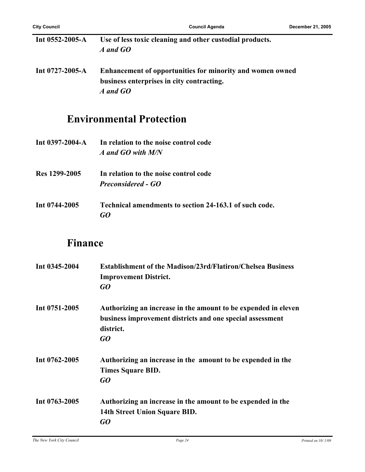| Int $0552 - 2005 - A$ | Use of less toxic cleaning and other custodial products.<br>A and GO                                   |
|-----------------------|--------------------------------------------------------------------------------------------------------|
| Int $0727 - 2005 - A$ | Enhancement of opportunities for minority and women owned<br>business enterprises in city contracting. |
|                       | A and GO                                                                                               |

### **Environmental Protection**

|               | Int 0397-2004-A In relation to the noise control code<br>A and GO with M/N |
|---------------|----------------------------------------------------------------------------|
| Res 1299-2005 | In relation to the noise control code<br><b>Preconsidered - GO</b>         |

**Int 0744-2005 Technical amendments to section 24-163.1 of such code.** *GO*

### **Finance**

| Int 0345-2004 | <b>Establishment of the Madison/23rd/Flatiron/Chelsea Business</b><br><b>Improvement District.</b><br>GO                                       |
|---------------|------------------------------------------------------------------------------------------------------------------------------------------------|
| Int 0751-2005 | Authorizing an increase in the amount to be expended in eleven<br>business improvement districts and one special assessment<br>district.<br>GQ |
| Int 0762-2005 | Authorizing an increase in the amount to be expended in the<br>Times Square BID.<br>GQ                                                         |
| Int 0763-2005 | Authorizing an increase in the amount to be expended in the<br>14th Street Union Square BID.<br>GO                                             |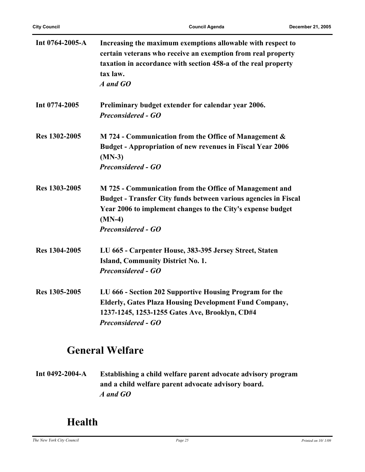| Int 0764-2005-A | Increasing the maximum exemptions allowable with respect to<br>certain veterans who receive an exemption from real property<br>taxation in accordance with section 458-a of the real property<br>tax law.<br>A and GO              |
|-----------------|------------------------------------------------------------------------------------------------------------------------------------------------------------------------------------------------------------------------------------|
| Int 0774-2005   | Preliminary budget extender for calendar year 2006.<br><b>Preconsidered - GO</b>                                                                                                                                                   |
| Res 1302-2005   | M 724 - Communication from the Office of Management &<br><b>Budget - Appropriation of new revenues in Fiscal Year 2006</b><br>$(MN-3)$<br><b>Preconsidered - GO</b>                                                                |
| Res 1303-2005   | M 725 - Communication from the Office of Management and<br>Budget - Transfer City funds between various agencies in Fiscal<br>Year 2006 to implement changes to the City's expense budget<br>$(MN-4)$<br><b>Preconsidered - GO</b> |
| Res 1304-2005   | LU 665 - Carpenter House, 383-395 Jersey Street, Staten<br><b>Island, Community District No. 1.</b><br><b>Preconsidered - GO</b>                                                                                                   |
| Res 1305-2005   | LU 666 - Section 202 Supportive Housing Program for the<br><b>Elderly, Gates Plaza Housing Development Fund Company,</b><br>1237-1245, 1253-1255 Gates Ave, Brooklyn, CD#4<br><b>Preconsidered - GO</b>                            |

### **General Welfare**

**Int 0492-2004-A Establishing a child welfare parent advocate advisory program and a child welfare parent advocate advisory board.** *A and GO*

### **Health**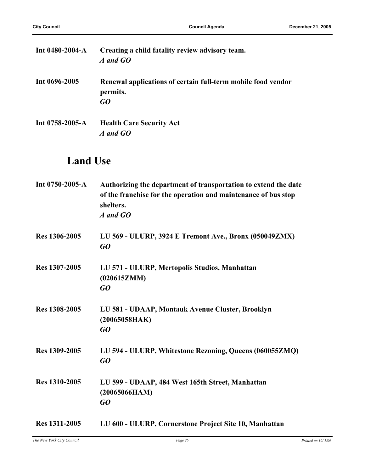| Int $0480 - 2004 - A$ | Creating a child fatality review advisory team.<br>A and GO                    |
|-----------------------|--------------------------------------------------------------------------------|
| Int 0696-2005         | Renewal applications of certain full-term mobile food vendor<br>permits.<br>GO |
| Int $0758 - 2005 - A$ | <b>Health Care Security Act</b><br>A and GO                                    |

### **Land Use**

| Int 0750-2005-A | Authorizing the department of transportation to extend the date<br>of the franchise for the operation and maintenance of bus stop<br>shelters.<br>A and GO |
|-----------------|------------------------------------------------------------------------------------------------------------------------------------------------------------|
| Res 1306-2005   | LU 569 - ULURP, 3924 E Tremont Ave., Bronx (050049ZMX)<br>GQ                                                                                               |
| Res 1307-2005   | LU 571 - ULURP, Mertopolis Studios, Manhattan<br>(020615ZMM)<br>GQ                                                                                         |
| Res 1308-2005   | LU 581 - UDAAP, Montauk Avenue Cluster, Brooklyn<br>(20065058HAK)<br>GQ                                                                                    |
| Res 1309-2005   | LU 594 - ULURP, Whitestone Rezoning, Queens (060055ZMQ)<br>GO                                                                                              |
| Res 1310-2005   | LU 599 - UDAAP, 484 West 165th Street, Manhattan<br>(20065066HAM)<br>GO                                                                                    |
| Res 1311-2005   | LU 600 - ULURP, Cornerstone Project Site 10, Manhattan                                                                                                     |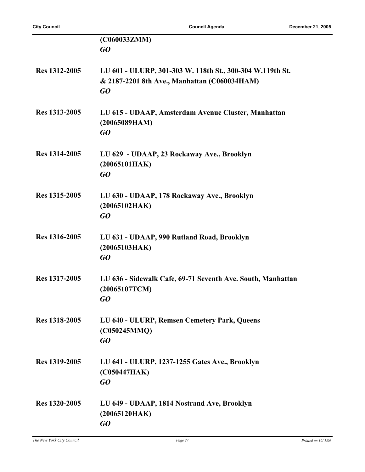|               | (C060033ZMM)<br>GQ                                                                                              |
|---------------|-----------------------------------------------------------------------------------------------------------------|
| Res 1312-2005 | LU 601 - ULURP, 301-303 W. 118th St., 300-304 W.119th St.<br>& 2187-2201 8th Ave., Manhattan (C060034HAM)<br>GO |
| Res 1313-2005 | LU 615 - UDAAP, Amsterdam Avenue Cluster, Manhattan<br>(20065089HAM)<br>GO                                      |
| Res 1314-2005 | LU 629 - UDAAP, 23 Rockaway Ave., Brooklyn<br>(20065101HAK)<br>GO                                               |
| Res 1315-2005 | LU 630 - UDAAP, 178 Rockaway Ave., Brooklyn<br>(20065102HAK)<br>GO                                              |
| Res 1316-2005 | LU 631 - UDAAP, 990 Rutland Road, Brooklyn<br>(20065103HAK)<br>GO                                               |
| Res 1317-2005 | LU 636 - Sidewalk Cafe, 69-71 Seventh Ave. South, Manhattan<br>(20065107TCM)<br>GO                              |
| Res 1318-2005 | LU 640 - ULURP, Remsen Cemetery Park, Queens<br>(C050245MMQ)<br>GO                                              |
| Res 1319-2005 | LU 641 - ULURP, 1237-1255 Gates Ave., Brooklyn<br>(C050447HAK)<br>GO                                            |
| Res 1320-2005 | LU 649 - UDAAP, 1814 Nostrand Ave, Brooklyn<br>(20065120HAK)<br>GO                                              |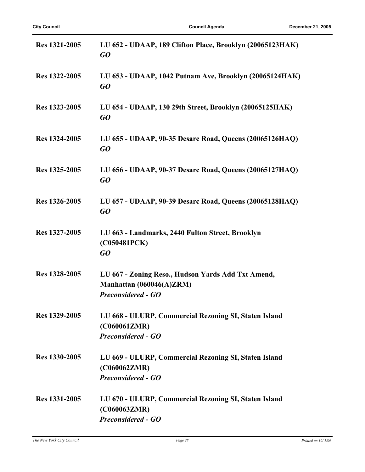| Res 1321-2005 | LU 652 - UDAAP, 189 Clifton Place, Brooklyn (20065123HAK)<br>GQ                                             |
|---------------|-------------------------------------------------------------------------------------------------------------|
| Res 1322-2005 | LU 653 - UDAAP, 1042 Putnam Ave, Brooklyn (20065124HAK)<br>GQ                                               |
| Res 1323-2005 | LU 654 - UDAAP, 130 29th Street, Brooklyn (20065125HAK)<br>GO                                               |
| Res 1324-2005 | LU 655 - UDAAP, 90-35 Desarc Road, Queens (20065126HAQ)<br>$G$ O                                            |
| Res 1325-2005 | LU 656 - UDAAP, 90-37 Desarc Road, Queens (20065127HAQ)<br>GQ                                               |
| Res 1326-2005 | LU 657 - UDAAP, 90-39 Desarc Road, Queens (20065128HAQ)<br>GQ                                               |
| Res 1327-2005 | LU 663 - Landmarks, 2440 Fulton Street, Brooklyn<br>(C050481PCK)<br>$G$ O                                   |
| Res 1328-2005 | LU 667 - Zoning Reso., Hudson Yards Add Txt Amend,<br>Manhattan (060046(A)ZRM)<br><b>Preconsidered - GO</b> |
| Res 1329-2005 | LU 668 - ULURP, Commercial Rezoning SI, Staten Island<br>(C060061ZMR)<br><b>Preconsidered - GO</b>          |
| Res 1330-2005 | LU 669 - ULURP, Commercial Rezoning SI, Staten Island<br>(C060062ZMR)<br><b>Preconsidered - GO</b>          |
| Res 1331-2005 | LU 670 - ULURP, Commercial Rezoning SI, Staten Island<br>(C060063ZMR)<br><b>Preconsidered - GO</b>          |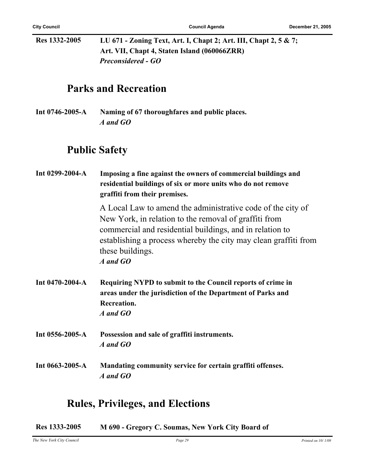**Res 1332-2005 LU 671 - Zoning Text, Art. I, Chapt 2; Art. III, Chapt 2, 5 & 7; Art. VII, Chapt 4, Staten Island (060066ZRR)** *Preconsidered - GO*

### **Parks and Recreation**

**Int 0746-2005-A Naming of 67 thoroughfares and public places.** *A and GO*

### **Public Safety**

| Int 0299-2004-A | Imposing a fine against the owners of commercial buildings and<br>residential buildings of six or more units who do not remove<br>graffiti from their premises.                                                                                                                     |
|-----------------|-------------------------------------------------------------------------------------------------------------------------------------------------------------------------------------------------------------------------------------------------------------------------------------|
|                 | A Local Law to amend the administrative code of the city of<br>New York, in relation to the removal of graffiti from<br>commercial and residential buildings, and in relation to<br>establishing a process whereby the city may clean graffiti from<br>these buildings.<br>A and GO |
| Int 0470-2004-A | Requiring NYPD to submit to the Council reports of crime in<br>areas under the jurisdiction of the Department of Parks and<br><b>Recreation.</b><br>A and GO                                                                                                                        |
| Int 0556-2005-A | Possession and sale of graffiti instruments.<br>A and GO                                                                                                                                                                                                                            |
| Int 0663-2005-A | Mandating community service for certain graffiti offenses.<br>A and GO                                                                                                                                                                                                              |

### **Rules, Privileges, and Elections**

**Res 1333-2005 M 690 - Gregory C. Soumas, New York City Board of**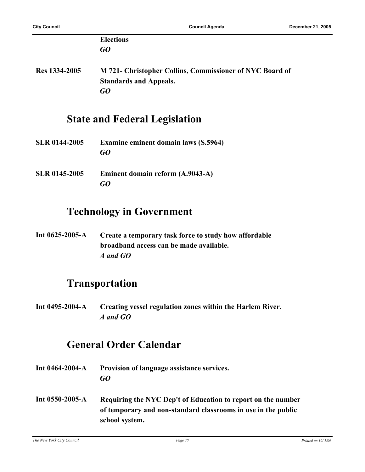|                      | <b>Elections</b>                                         |
|----------------------|----------------------------------------------------------|
|                      | GO                                                       |
| Res 1334-2005        | M 721- Christopher Collins, Commissioner of NYC Board of |
|                      | <b>Standards and Appeals.</b>                            |
|                      | GQ                                                       |
|                      | <b>State and Federal Legislation</b>                     |
| <b>SLR 0144-2005</b> | <b>Examine eminent domain laws (S.5964)</b>              |
|                      | G0                                                       |

**SLR 0145-2005 Eminent domain reform (A.9043-A)** *GO*

### **Technology in Government**

**Int 0625-2005-A Create a temporary task force to study how affordable broadband access can be made available.** *A and GO*

### **Transportation**

**Int 0495-2004-A Creating vessel regulation zones within the Harlem River.** *A and GO*

### **General Order Calendar**

- **Int 0464-2004-A Provision of language assistance services.** *GO*
- **Int 0550-2005-A Requiring the NYC Dep't of Education to report on the number of temporary and non-standard classrooms in use in the public school system.**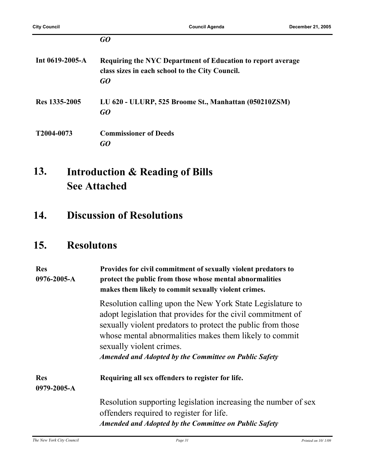|                       | GO                                                                                                                   |
|-----------------------|----------------------------------------------------------------------------------------------------------------------|
| Int $0619 - 2005 - A$ | Requiring the NYC Department of Education to report average<br>class sizes in each school to the City Council.<br>GO |
| Res 1335-2005         | LU 620 - ULURP, 525 Broome St., Manhattan (050210ZSM)<br>GO                                                          |
| T2004-0073            | <b>Commissioner of Deeds</b><br>GO                                                                                   |

#### **Introduction & Reading of Bills See Attached 13.**

**14. Discussion of Resolutions**

### **15. Resolutons**

| <b>Res</b><br>0976-2005-A | Provides for civil commitment of sexually violent predators to<br>protect the public from those whose mental abnormalities<br>makes them likely to commit sexually violent crimes.                                                                                                                                                            |
|---------------------------|-----------------------------------------------------------------------------------------------------------------------------------------------------------------------------------------------------------------------------------------------------------------------------------------------------------------------------------------------|
|                           | Resolution calling upon the New York State Legislature to<br>adopt legislation that provides for the civil commitment of<br>sexually violent predators to protect the public from those<br>whose mental abnormalities makes them likely to commit<br>sexually violent crimes.<br><b>Amended and Adopted by the Committee on Public Safety</b> |
| <b>Res</b><br>0979-2005-A | Requiring all sex offenders to register for life.                                                                                                                                                                                                                                                                                             |
|                           | Resolution supporting legislation increasing the number of sex<br>offenders required to register for life.<br><b>Amended and Adopted by the Committee on Public Safety</b>                                                                                                                                                                    |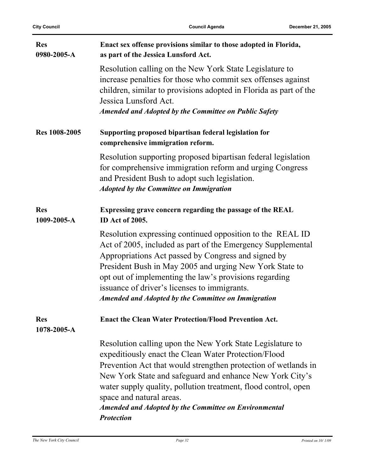| <b>Res</b><br>0980-2005-A | Enact sex offense provisions similar to those adopted in Florida,<br>as part of the Jessica Lunsford Act.                                                                                                                                                                                                                                                                                                                          |
|---------------------------|------------------------------------------------------------------------------------------------------------------------------------------------------------------------------------------------------------------------------------------------------------------------------------------------------------------------------------------------------------------------------------------------------------------------------------|
|                           | Resolution calling on the New York State Legislature to<br>increase penalties for those who commit sex offenses against<br>children, similar to provisions adopted in Florida as part of the<br>Jessica Lunsford Act.<br><b>Amended and Adopted by the Committee on Public Safety</b>                                                                                                                                              |
| Res 1008-2005             | Supporting proposed bipartisan federal legislation for<br>comprehensive immigration reform.                                                                                                                                                                                                                                                                                                                                        |
|                           | Resolution supporting proposed bipartisan federal legislation<br>for comprehensive immigration reform and urging Congress<br>and President Bush to adopt such legislation.<br><b>Adopted by the Committee on Immigration</b>                                                                                                                                                                                                       |
| <b>Res</b><br>1009-2005-A | Expressing grave concern regarding the passage of the REAL<br><b>ID</b> Act of 2005.                                                                                                                                                                                                                                                                                                                                               |
|                           | Resolution expressing continued opposition to the REAL ID<br>Act of 2005, included as part of the Emergency Supplemental<br>Appropriations Act passed by Congress and signed by<br>President Bush in May 2005 and urging New York State to<br>opt out of implementing the law's provisions regarding<br>issuance of driver's licenses to immigrants.<br><b>Amended and Adopted by the Committee on Immigration</b>                 |
| <b>Res</b><br>1078-2005-A | <b>Enact the Clean Water Protection/Flood Prevention Act.</b>                                                                                                                                                                                                                                                                                                                                                                      |
|                           | Resolution calling upon the New York State Legislature to<br>expeditiously enact the Clean Water Protection/Flood<br>Prevention Act that would strengthen protection of wetlands in<br>New York State and safeguard and enhance New York City's<br>water supply quality, pollution treatment, flood control, open<br>space and natural areas.<br><b>Amended and Adopted by the Committee on Environmental</b><br><b>Protection</b> |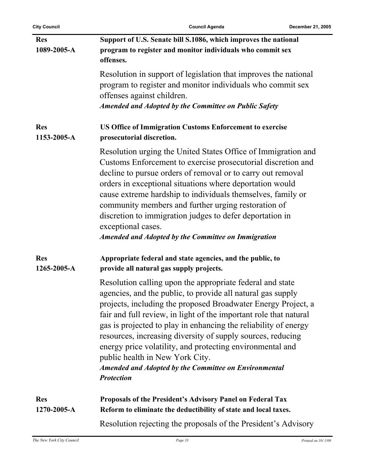| <b>Res</b><br>1089-2005-A | Support of U.S. Senate bill S.1086, which improves the national<br>program to register and monitor individuals who commit sex<br>offenses.                                                                                                                                                                                                                                                                                                                                                                                                                                            |
|---------------------------|---------------------------------------------------------------------------------------------------------------------------------------------------------------------------------------------------------------------------------------------------------------------------------------------------------------------------------------------------------------------------------------------------------------------------------------------------------------------------------------------------------------------------------------------------------------------------------------|
|                           | Resolution in support of legislation that improves the national<br>program to register and monitor individuals who commit sex<br>offenses against children.                                                                                                                                                                                                                                                                                                                                                                                                                           |
|                           | <b>Amended and Adopted by the Committee on Public Safety</b>                                                                                                                                                                                                                                                                                                                                                                                                                                                                                                                          |
| <b>Res</b><br>1153-2005-A | <b>US Office of Immigration Customs Enforcement to exercise</b><br>prosecutorial discretion.                                                                                                                                                                                                                                                                                                                                                                                                                                                                                          |
|                           | Resolution urging the United States Office of Immigration and<br>Customs Enforcement to exercise prosecutorial discretion and<br>decline to pursue orders of removal or to carry out removal<br>orders in exceptional situations where deportation would<br>cause extreme hardship to individuals themselves, family or<br>community members and further urging restoration of<br>discretion to immigration judges to defer deportation in<br>exceptional cases.<br><b>Amended and Adopted by the Committee on Immigration</b>                                                        |
| <b>Res</b><br>1265-2005-A | Appropriate federal and state agencies, and the public, to<br>provide all natural gas supply projects.                                                                                                                                                                                                                                                                                                                                                                                                                                                                                |
|                           | Resolution calling upon the appropriate federal and state<br>agencies, and the public, to provide all natural gas supply<br>projects, including the proposed Broadwater Energy Project, a<br>fair and full review, in light of the important role that natural<br>gas is projected to play in enhancing the reliability of energy<br>resources, increasing diversity of supply sources, reducing<br>energy price volatility, and protecting environmental and<br>public health in New York City.<br><b>Amended and Adopted by the Committee on Environmental</b><br><b>Protection</b> |
| <b>Res</b><br>1270-2005-A | Proposals of the President's Advisory Panel on Federal Tax<br>Reform to eliminate the deductibility of state and local taxes.                                                                                                                                                                                                                                                                                                                                                                                                                                                         |
|                           | Resolution rejecting the proposals of the President's Advisory                                                                                                                                                                                                                                                                                                                                                                                                                                                                                                                        |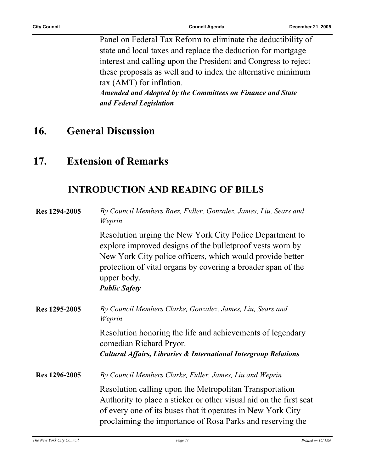Panel on Federal Tax Reform to eliminate the deductibility of state and local taxes and replace the deduction for mortgage interest and calling upon the President and Congress to reject these proposals as well and to index the alternative minimum tax (AMT) for inflation. *Amended and Adopted by the Committees on Finance and State and Federal Legislation*

### **16. General Discussion**

### **17. Extension of Remarks**

### **INTRODUCTION AND READING OF BILLS**

| Res 1294-2005 | By Council Members Baez, Fidler, Gonzalez, James, Liu, Sears and<br>Weprin                                                                                                                                                                                                                 |
|---------------|--------------------------------------------------------------------------------------------------------------------------------------------------------------------------------------------------------------------------------------------------------------------------------------------|
|               | Resolution urging the New York City Police Department to<br>explore improved designs of the bullet proof vests worn by<br>New York City police officers, which would provide better<br>protection of vital organs by covering a broader span of the<br>upper body.<br><b>Public Safety</b> |
| Res 1295-2005 | By Council Members Clarke, Gonzalez, James, Liu, Sears and<br>Weprin                                                                                                                                                                                                                       |
|               | Resolution honoring the life and achievements of legendary<br>comedian Richard Pryor.                                                                                                                                                                                                      |
|               | <b>Cultural Affairs, Libraries &amp; International Intergroup Relations</b>                                                                                                                                                                                                                |
| Res 1296-2005 | By Council Members Clarke, Fidler, James, Liu and Weprin                                                                                                                                                                                                                                   |
|               | Resolution calling upon the Metropolitan Transportation<br>Authority to place a sticker or other visual aid on the first seat<br>of every one of its buses that it operates in New York City<br>proclaiming the importance of Rosa Parks and reserving the                                 |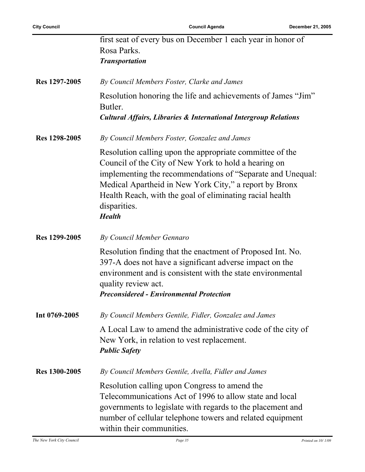$\overline{a}$ 

|               | first seat of every bus on December 1 each year in honor of<br>Rosa Parks.<br><b>Transportation</b>                                                                                                                                                                                                                                   |
|---------------|---------------------------------------------------------------------------------------------------------------------------------------------------------------------------------------------------------------------------------------------------------------------------------------------------------------------------------------|
| Res 1297-2005 | By Council Members Foster, Clarke and James                                                                                                                                                                                                                                                                                           |
|               | Resolution honoring the life and achievements of James "Jim"<br>Butler.                                                                                                                                                                                                                                                               |
|               | <b>Cultural Affairs, Libraries &amp; International Intergroup Relations</b>                                                                                                                                                                                                                                                           |
| Res 1298-2005 | By Council Members Foster, Gonzalez and James                                                                                                                                                                                                                                                                                         |
|               | Resolution calling upon the appropriate committee of the<br>Council of the City of New York to hold a hearing on<br>implementing the recommendations of "Separate and Unequal:<br>Medical Apartheid in New York City," a report by Bronx<br>Health Reach, with the goal of eliminating racial health<br>disparities.<br><b>Health</b> |
| Res 1299-2005 | By Council Member Gennaro                                                                                                                                                                                                                                                                                                             |
|               | Resolution finding that the enactment of Proposed Int. No.<br>397-A does not have a significant adverse impact on the<br>environment and is consistent with the state environmental<br>quality review act.<br><b>Preconsidered - Environmental Protection</b>                                                                         |
| Int 0769-2005 | By Council Members Gentile, Fidler, Gonzalez and James                                                                                                                                                                                                                                                                                |
|               | A Local Law to amend the administrative code of the city of<br>New York, in relation to vest replacement.<br><b>Public Safety</b>                                                                                                                                                                                                     |
| Res 1300-2005 | By Council Members Gentile, Avella, Fidler and James                                                                                                                                                                                                                                                                                  |
|               | Resolution calling upon Congress to amend the<br>Telecommunications Act of 1996 to allow state and local<br>governments to legislate with regards to the placement and<br>number of cellular telephone towers and related equipment<br>within their communities.                                                                      |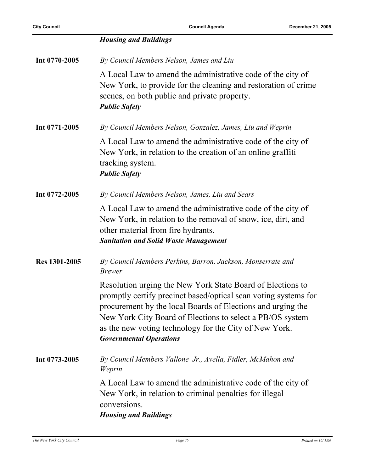|               | <b>Housing and Buildings</b>                                                                                                                                                                                                                                                                                                                          |
|---------------|-------------------------------------------------------------------------------------------------------------------------------------------------------------------------------------------------------------------------------------------------------------------------------------------------------------------------------------------------------|
| Int 0770-2005 | By Council Members Nelson, James and Liu                                                                                                                                                                                                                                                                                                              |
|               | A Local Law to amend the administrative code of the city of<br>New York, to provide for the cleaning and restoration of crime<br>scenes, on both public and private property.<br><b>Public Safety</b>                                                                                                                                                 |
| Int 0771-2005 | By Council Members Nelson, Gonzalez, James, Liu and Weprin                                                                                                                                                                                                                                                                                            |
|               | A Local Law to amend the administrative code of the city of<br>New York, in relation to the creation of an online graffiti<br>tracking system.<br><b>Public Safety</b>                                                                                                                                                                                |
| Int 0772-2005 | By Council Members Nelson, James, Liu and Sears                                                                                                                                                                                                                                                                                                       |
|               | A Local Law to amend the administrative code of the city of<br>New York, in relation to the removal of snow, ice, dirt, and<br>other material from fire hydrants.<br><b>Sanitation and Solid Waste Management</b>                                                                                                                                     |
| Res 1301-2005 | By Council Members Perkins, Barron, Jackson, Monserrate and<br><b>Brewer</b>                                                                                                                                                                                                                                                                          |
|               | Resolution urging the New York State Board of Elections to<br>promptly certify precinct based/optical scan voting systems for<br>procurement by the local Boards of Elections and urging the<br>New York City Board of Elections to select a PB/OS system<br>as the new voting technology for the City of New York.<br><b>Governmental Operations</b> |
| Int 0773-2005 | By Council Members Vallone Jr., Avella, Fidler, McMahon and<br>Weprin                                                                                                                                                                                                                                                                                 |
|               | A Local Law to amend the administrative code of the city of<br>New York, in relation to criminal penalties for illegal<br>conversions.<br><b>Housing and Buildings</b>                                                                                                                                                                                |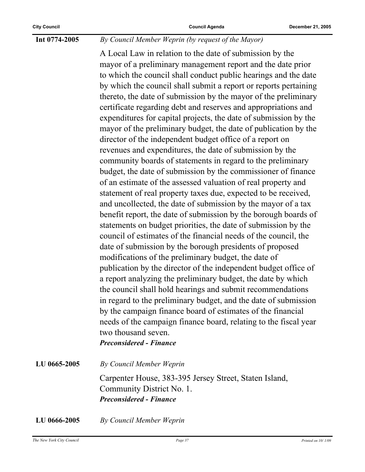#### **Int 0774-2005** *By Council Member Weprin (by request of the Mayor)*

A Local Law in relation to the date of submission by the mayor of a preliminary management report and the date prior to which the council shall conduct public hearings and the date by which the council shall submit a report or reports pertaining thereto, the date of submission by the mayor of the preliminary certificate regarding debt and reserves and appropriations and expenditures for capital projects, the date of submission by the mayor of the preliminary budget, the date of publication by the director of the independent budget office of a report on revenues and expenditures, the date of submission by the community boards of statements in regard to the preliminary budget, the date of submission by the commissioner of finance of an estimate of the assessed valuation of real property and statement of real property taxes due, expected to be received, and uncollected, the date of submission by the mayor of a tax benefit report, the date of submission by the borough boards of statements on budget priorities, the date of submission by the council of estimates of the financial needs of the council, the date of submission by the borough presidents of proposed modifications of the preliminary budget, the date of publication by the director of the independent budget office of a report analyzing the preliminary budget, the date by which the council shall hold hearings and submit recommendations in regard to the preliminary budget, and the date of submission by the campaign finance board of estimates of the financial needs of the campaign finance board, relating to the fiscal year two thousand seven.

*Preconsidered - Finance*

**LU 0665-2005** *By Council Member Weprin* Carpenter House, 383-395 Jersey Street, Staten Island, Community District No. 1. *Preconsidered - Finance*

**LU 0666-2005** *By Council Member Weprin*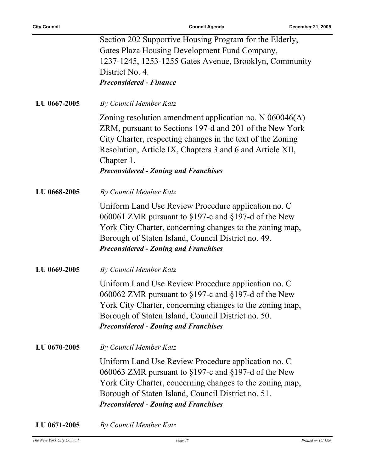|              | Section 202 Supportive Housing Program for the Elderly,                                                                                                                                                                                                                                                       |
|--------------|---------------------------------------------------------------------------------------------------------------------------------------------------------------------------------------------------------------------------------------------------------------------------------------------------------------|
|              | Gates Plaza Housing Development Fund Company,<br>1237-1245, 1253-1255 Gates Avenue, Brooklyn, Community                                                                                                                                                                                                       |
|              | District No. 4.                                                                                                                                                                                                                                                                                               |
|              | <b>Preconsidered - Finance</b>                                                                                                                                                                                                                                                                                |
|              |                                                                                                                                                                                                                                                                                                               |
| LU 0667-2005 | By Council Member Katz                                                                                                                                                                                                                                                                                        |
|              | Zoning resolution amendment application no. N $060046(A)$<br>ZRM, pursuant to Sections 197-d and 201 of the New York<br>City Charter, respecting changes in the text of the Zoning<br>Resolution, Article IX, Chapters 3 and 6 and Article XII,<br>Chapter 1.<br><b>Preconsidered - Zoning and Franchises</b> |
| LU 0668-2005 | By Council Member Katz                                                                                                                                                                                                                                                                                        |
|              | Uniform Land Use Review Procedure application no. C<br>060061 ZMR pursuant to $\S 197$ -c and $\S 197$ -d of the New<br>York City Charter, concerning changes to the zoning map,<br>Borough of Staten Island, Council District no. 49.<br><b>Preconsidered - Zoning and Franchises</b>                        |
| LU 0669-2005 | By Council Member Katz                                                                                                                                                                                                                                                                                        |
|              | Uniform Land Use Review Procedure application no. C<br>060062 ZMR pursuant to $\S 197$ -c and $\S 197$ -d of the New<br>York City Charter, concerning changes to the zoning map,<br>Borough of Staten Island, Council District no. 50.<br><b>Preconsidered - Zoning and Franchises</b>                        |
| LU 0670-2005 | By Council Member Katz                                                                                                                                                                                                                                                                                        |
|              | Uniform Land Use Review Procedure application no. C<br>060063 ZMR pursuant to $\S 197$ -c and $\S 197$ -d of the New<br>York City Charter, concerning changes to the zoning map,<br>Borough of Staten Island, Council District no. 51.<br><b>Preconsidered - Zoning and Franchises</b>                        |

**LU 0671-2005** *By Council Member Katz*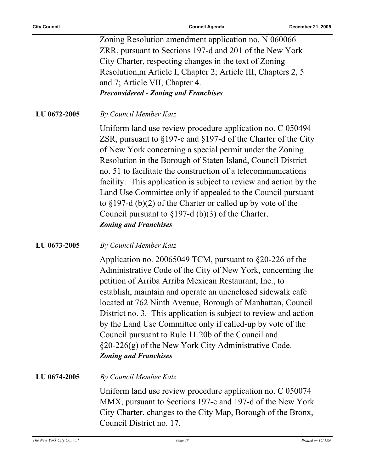|              | Zoning Resolution amendment application no. N 060066                                                                                                                                                                                                                                                                                                                                                                                                                                                                                                                                                                               |
|--------------|------------------------------------------------------------------------------------------------------------------------------------------------------------------------------------------------------------------------------------------------------------------------------------------------------------------------------------------------------------------------------------------------------------------------------------------------------------------------------------------------------------------------------------------------------------------------------------------------------------------------------------|
|              |                                                                                                                                                                                                                                                                                                                                                                                                                                                                                                                                                                                                                                    |
|              | ZRR, pursuant to Sections 197-d and 201 of the New York                                                                                                                                                                                                                                                                                                                                                                                                                                                                                                                                                                            |
|              | City Charter, respecting changes in the text of Zoning                                                                                                                                                                                                                                                                                                                                                                                                                                                                                                                                                                             |
|              | Resolution, m Article I, Chapter 2; Article III, Chapters 2, 5                                                                                                                                                                                                                                                                                                                                                                                                                                                                                                                                                                     |
|              | and 7; Article VII, Chapter 4.                                                                                                                                                                                                                                                                                                                                                                                                                                                                                                                                                                                                     |
|              | <b>Preconsidered - Zoning and Franchises</b>                                                                                                                                                                                                                                                                                                                                                                                                                                                                                                                                                                                       |
| LU 0672-2005 | By Council Member Katz                                                                                                                                                                                                                                                                                                                                                                                                                                                                                                                                                                                                             |
|              | Uniform land use review procedure application no. C 050494<br>ZSR, pursuant to $\S 197$ -c and $\S 197$ -d of the Charter of the City<br>of New York concerning a special permit under the Zoning<br>Resolution in the Borough of Staten Island, Council District<br>no. 51 to facilitate the construction of a telecommunications<br>facility. This application is subject to review and action by the<br>Land Use Committee only if appealed to the Council pursuant<br>to $\S 197-d$ (b)(2) of the Charter or called up by vote of the<br>Council pursuant to $\S 197-d$ (b)(3) of the Charter.<br><b>Zoning and Franchises</b> |
| LU 0673-2005 | By Council Member Katz                                                                                                                                                                                                                                                                                                                                                                                                                                                                                                                                                                                                             |
|              | Application no. 20065049 TCM, pursuant to $\S20-226$ of the<br>Administrative Code of the City of New York, concerning the<br>petition of Arriba Arriba Mexican Restaurant, Inc., to<br>establish, maintain and operate an unenclosed sidewalk café<br>located at 762 Ninth Avenue, Borough of Manhattan, Council<br>District no. 3. This application is subject to review and action<br>by the Land Use Committee only if called-up by vote of the<br>Council pursuant to Rule 11.20b of the Council and<br>§20-226(g) of the New York City Administrative Code.<br><b>Zoning and Franchises</b>                                  |
| LU 0674-2005 | By Council Member Katz                                                                                                                                                                                                                                                                                                                                                                                                                                                                                                                                                                                                             |
|              | Uniform land use review procedure application no. C 050074<br>MMX, pursuant to Sections 197-c and 197-d of the New York<br>City Charter, changes to the City Map, Borough of the Bronx,<br>Council District no. 17.                                                                                                                                                                                                                                                                                                                                                                                                                |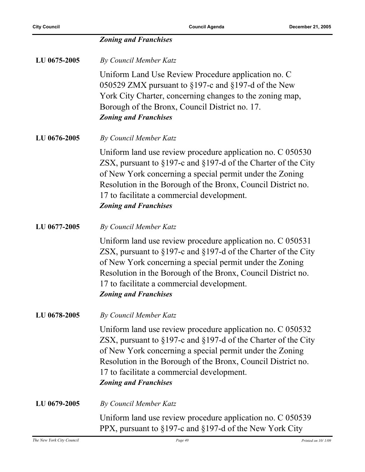|              | <b>Zoning and Franchises</b>                                                                                                                                                                                                                                                                                                                    |
|--------------|-------------------------------------------------------------------------------------------------------------------------------------------------------------------------------------------------------------------------------------------------------------------------------------------------------------------------------------------------|
| LU 0675-2005 | By Council Member Katz                                                                                                                                                                                                                                                                                                                          |
|              | Uniform Land Use Review Procedure application no. C<br>050529 ZMX pursuant to §197-c and §197-d of the New<br>York City Charter, concerning changes to the zoning map,<br>Borough of the Bronx, Council District no. 17.<br><b>Zoning and Franchises</b>                                                                                        |
| LU 0676-2005 | By Council Member Katz                                                                                                                                                                                                                                                                                                                          |
|              | Uniform land use review procedure application no. C 050530<br>ZSX, pursuant to $\S 197$ -c and $\S 197$ -d of the Charter of the City<br>of New York concerning a special permit under the Zoning<br>Resolution in the Borough of the Bronx, Council District no.<br>17 to facilitate a commercial development.<br><b>Zoning and Franchises</b> |
| LU 0677-2005 | By Council Member Katz                                                                                                                                                                                                                                                                                                                          |
|              | Uniform land use review procedure application no. C 050531<br>ZSX, pursuant to $\S 197$ -c and $\S 197$ -d of the Charter of the City<br>of New York concerning a special permit under the Zoning<br>Resolution in the Borough of the Bronx, Council District no.<br>17 to facilitate a commercial development.<br><b>Zoning and Franchises</b> |
| LU 0678-2005 | By Council Member Katz                                                                                                                                                                                                                                                                                                                          |
|              | Uniform land use review procedure application no. C 050532<br>ZSX, pursuant to $\S 197$ -c and $\S 197$ -d of the Charter of the City<br>of New York concerning a special permit under the Zoning<br>Resolution in the Borough of the Bronx, Council District no.<br>17 to facilitate a commercial development.<br><b>Zoning and Franchises</b> |
| LU 0679-2005 | By Council Member Katz                                                                                                                                                                                                                                                                                                                          |
|              | Uniform land use review procedure application no. C 050539<br>PPX, pursuant to §197-c and §197-d of the New York City                                                                                                                                                                                                                           |